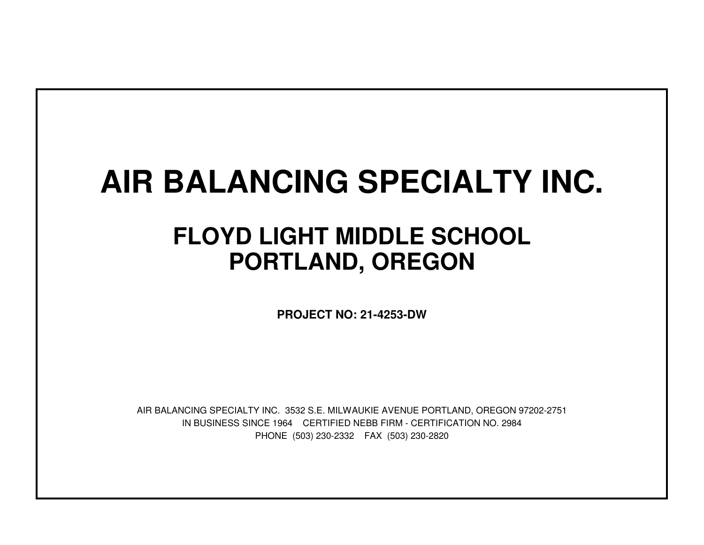# **AIR BALANCING SPECIALTY INC.**

## **FLOYD LIGHT MIDDLE SCHOOLPORTLAND, OREGON**

**PROJECT NO: 21-4253-DW**

IN BUSINESS SINCE 1964 CERTIFIED NEBB FIRM - CERTIFICATION NO. 2984PHONE (503) 230-2332 FAX (503) 230-2820AIR BALANCING SPECIALTY INC. 3532 S.E. MILWAUKIE AVENUE PORTLAND, OREGON 97202-2751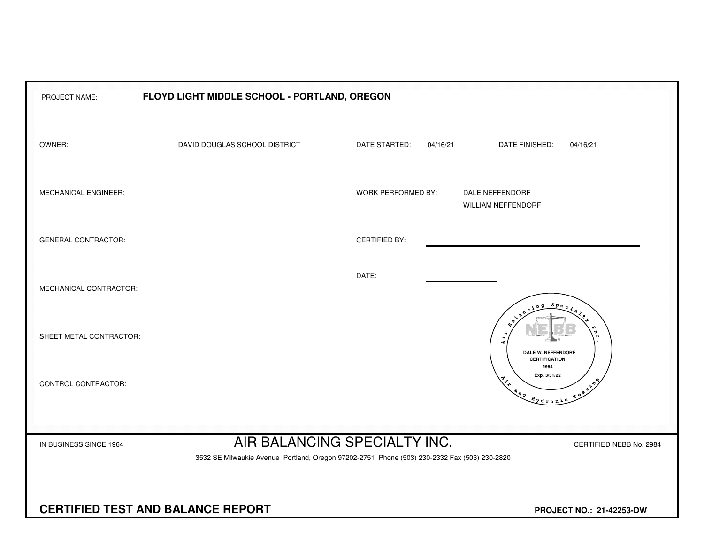| PROJECT NAME:                            | FLOYD LIGHT MIDDLE SCHOOL - PORTLAND, OREGON                                                 |                              |                                                                                                                                                                                                                                                                                                                                                                                      |
|------------------------------------------|----------------------------------------------------------------------------------------------|------------------------------|--------------------------------------------------------------------------------------------------------------------------------------------------------------------------------------------------------------------------------------------------------------------------------------------------------------------------------------------------------------------------------------|
| OWNER:                                   | DAVID DOUGLAS SCHOOL DISTRICT                                                                | DATE STARTED:<br>04/16/21    | <b>DATE FINISHED:</b><br>04/16/21                                                                                                                                                                                                                                                                                                                                                    |
| MECHANICAL ENGINEER:                     |                                                                                              | <b>WORK PERFORMED BY:</b>    | DALE NEFFENDORF<br><b>WILLIAM NEFFENDORF</b>                                                                                                                                                                                                                                                                                                                                         |
| <b>GENERAL CONTRACTOR:</b>               |                                                                                              | <b>CERTIFIED BY:</b>         |                                                                                                                                                                                                                                                                                                                                                                                      |
| MECHANICAL CONTRACTOR:                   |                                                                                              | DATE:                        | $S_{PQ}$                                                                                                                                                                                                                                                                                                                                                                             |
| SHEET METAL CONTRACTOR:                  |                                                                                              |                              | Ч<br>4<br>DALE W. NEFFENDORF<br><b>CERTIFICATION</b>                                                                                                                                                                                                                                                                                                                                 |
| CONTROL CONTRACTOR:                      |                                                                                              |                              | 2984<br>Exp. 3/31/22<br>$x^2$<br>$\begin{picture}(180,10) \put(0,0){\line(1,0){10}} \put(15,0){\line(1,0){10}} \put(15,0){\line(1,0){10}} \put(15,0){\line(1,0){10}} \put(15,0){\line(1,0){10}} \put(15,0){\line(1,0){10}} \put(15,0){\line(1,0){10}} \put(15,0){\line(1,0){10}} \put(15,0){\line(1,0){10}} \put(15,0){\line(1,0){10}} \put(15,0){\line(1,0){10}} \put(15,0){\line($ |
| IN BUSINESS SINCE 1964                   | 3532 SE Milwaukie Avenue Portland, Oregon 97202-2751 Phone (503) 230-2332 Fax (503) 230-2820 | AIR BALANCING SPECIALTY INC. | CERTIFIED NEBB No. 2984                                                                                                                                                                                                                                                                                                                                                              |
| <b>CERTIFIED TEST AND BALANCE REPORT</b> |                                                                                              |                              | PROJECT NO.: 21-42253-DW                                                                                                                                                                                                                                                                                                                                                             |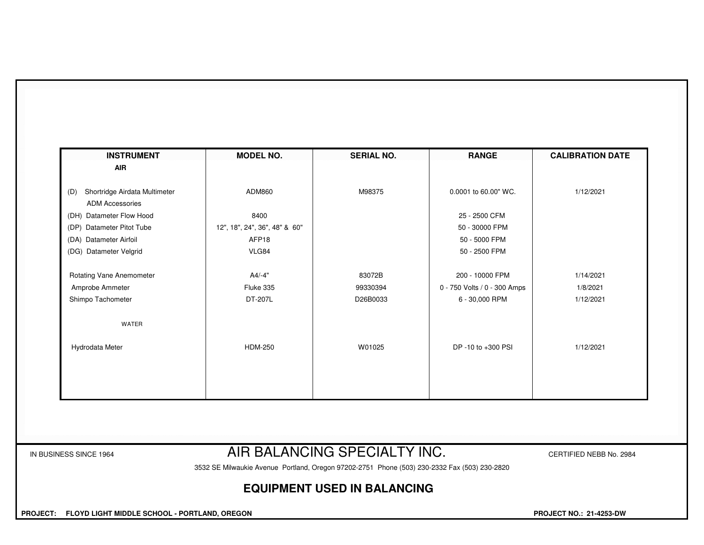| <b>AIR</b>                           |                               |          |                              |           |
|--------------------------------------|-------------------------------|----------|------------------------------|-----------|
|                                      |                               |          |                              |           |
| Shortridge Airdata Multimeter<br>(D) | ADM860                        | M98375   | 0.0001 to 60.00" WC.         | 1/12/2021 |
| <b>ADM Accessories</b>               |                               |          |                              |           |
| (DH) Datameter Flow Hood             | 8400                          |          | 25 - 2500 CFM                |           |
| (DP) Datameter Pitot Tube            | 12", 18", 24", 36", 48" & 60" |          | 50 - 30000 FPM               |           |
| (DA) Datameter Airfoil               | AFP18                         |          | 50 - 5000 FPM                |           |
| (DG) Datameter Velgrid               | VLG84                         |          | 50 - 2500 FPM                |           |
| Rotating Vane Anemometer             | A4/-4"                        | 83072B   | 200 - 10000 FPM              | 1/14/2021 |
| Amprobe Ammeter                      | Fluke 335                     | 99330394 | 0 - 750 Volts / 0 - 300 Amps | 1/8/2021  |
| Shimpo Tachometer                    | DT-207L                       | D26B0033 | 6 - 30,000 RPM               | 1/12/2021 |
| <b>WATER</b>                         |                               |          |                              |           |
| Hydrodata Meter                      | <b>HDM-250</b>                | W01025   | DP -10 to +300 PSI           | 1/12/2021 |
|                                      |                               |          |                              |           |
|                                      |                               |          |                              |           |
|                                      |                               |          |                              |           |
|                                      |                               |          |                              |           |

### IN BUSINESS SINCE 1964 **AIR BALANCING SPECIALTY INC.** CERTIFIED NEBB No. 2984

3532 SE Milwaukie Avenue Portland, Oregon 97202-2751 Phone (503) 230-2332 Fax (503) 230-2820

#### **EQUIPMENT USED IN BALANCING**

 **PROJECT: FLOYD LIGHT MIDDLE SCHOOL - PORTLAND, OREGON PROJECT NO.: 21-4253-DW**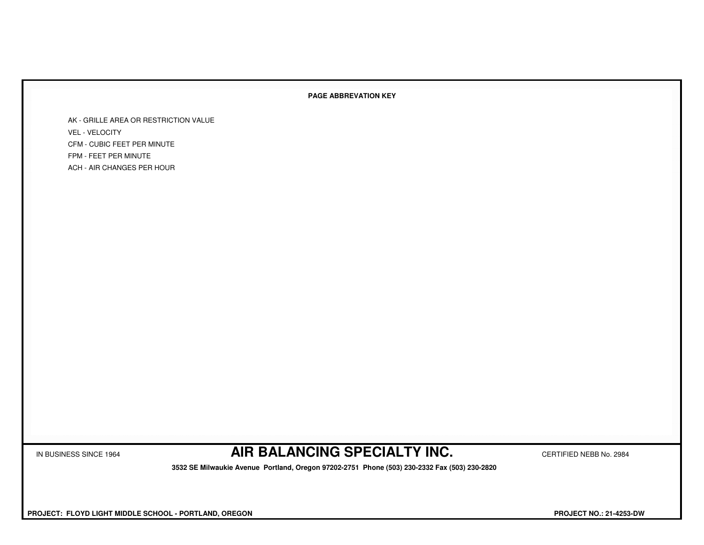#### **PAGE ABBREVATION KEY**

AK - GRILLE AREA OR RESTRICTION VALUEVEL - VELOCITY CFM - CUBIC FEET PER MINUTEFPM - FEET PER MINUTEACH - AIR CHANGES PER HOUR

IN BUSINESS SINCE 1964 **AIR BALANCING SPECIALTY INC.** CERTIFIED NEBB No. 2984

 **3532 SE Milwaukie Avenue Portland, Oregon 97202-2751 Phone (503) 230-2332 Fax (503) 230-2820**

 **PROJECT: FLOYD LIGHT MIDDLE SCHOOL - PORTLAND, OREGON PROJECT NO.: 21-4253-DW**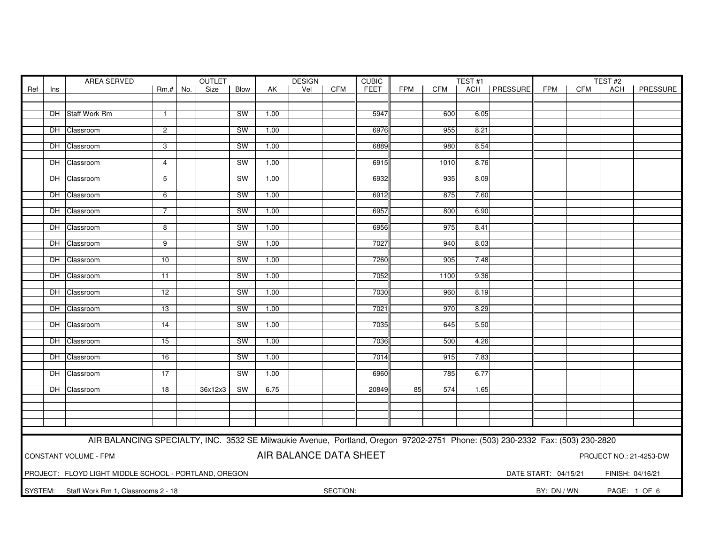|         | AREA SERVED<br><b>OUTLET</b> |                                                                                                                               |                 |  |         | <b>DESIGN</b><br><b>CUBIC</b> |      |                        |            | TEST <sub>#1</sub> |            |            |      | TEST#2         |                      |            |                  |                         |
|---------|------------------------------|-------------------------------------------------------------------------------------------------------------------------------|-----------------|--|---------|-------------------------------|------|------------------------|------------|--------------------|------------|------------|------|----------------|----------------------|------------|------------------|-------------------------|
| Ref     | Ins                          |                                                                                                                               | $Rm.+$ No.      |  | Size    | Blow                          | AK   | Vel                    | <b>CFM</b> | FEET               | <b>FPM</b> | <b>CFM</b> |      | ACH   PRESSURE | FPM                  | <b>CFM</b> | <b>ACH</b>       | PRESSURE                |
|         |                              |                                                                                                                               |                 |  |         |                               |      |                        |            |                    |            |            |      |                |                      |            |                  |                         |
|         |                              |                                                                                                                               |                 |  |         |                               |      |                        |            |                    |            |            |      |                |                      |            |                  |                         |
|         |                              | DH Staff Work Rm                                                                                                              | $\mathbf{1}$    |  |         | <b>SW</b>                     | 1.00 |                        |            | 5947               |            | 600        | 6.05 |                |                      |            |                  |                         |
|         |                              |                                                                                                                               |                 |  |         |                               |      |                        |            |                    |            |            |      |                |                      |            |                  |                         |
|         |                              | DH Classroom                                                                                                                  | $\overline{2}$  |  |         | <b>SW</b>                     | 1.00 |                        |            | 6976               |            | 955        | 8.21 |                |                      |            |                  |                         |
|         |                              |                                                                                                                               |                 |  |         |                               |      |                        |            |                    |            |            |      |                |                      |            |                  |                         |
|         |                              | DH Classroom                                                                                                                  | 3               |  |         | SW                            | 1.00 |                        |            | 6889               |            | 980        | 8.54 |                |                      |            |                  |                         |
|         |                              | DH Classroom                                                                                                                  | $\overline{4}$  |  |         | <b>SW</b>                     | 1.00 |                        |            | 6915               |            | 1010       | 8.76 |                |                      |            |                  |                         |
|         |                              |                                                                                                                               |                 |  |         |                               |      |                        |            |                    |            |            |      |                |                      |            |                  |                         |
|         |                              | DH Classroom                                                                                                                  | 5               |  |         | SW                            | 1.00 |                        |            | 6932               |            | 935        | 8.09 |                |                      |            |                  |                         |
|         |                              |                                                                                                                               |                 |  |         |                               |      |                        |            |                    |            |            |      |                |                      |            |                  |                         |
|         |                              | DH Classroom                                                                                                                  | 6               |  |         | <b>SW</b>                     | 1.00 |                        |            | 6912               |            | 875        | 7.60 |                |                      |            |                  |                         |
|         |                              |                                                                                                                               |                 |  |         |                               |      |                        |            |                    |            |            |      |                |                      |            |                  |                         |
|         |                              | DH Classroom                                                                                                                  | 7               |  |         | SW                            | 1.00 |                        |            | 6957               |            | 800        | 6.90 |                |                      |            |                  |                         |
|         |                              |                                                                                                                               |                 |  |         |                               |      |                        |            |                    |            |            |      |                |                      |            |                  |                         |
|         |                              | DH Classroom                                                                                                                  | 8               |  |         | <b>SW</b>                     | 1.00 |                        |            | 6956               |            | 975        | 8.41 |                |                      |            |                  |                         |
|         |                              |                                                                                                                               |                 |  |         |                               |      |                        |            |                    |            |            |      |                |                      |            |                  |                         |
|         |                              | DH Classroom                                                                                                                  | 9               |  |         | SW                            | 1.00 |                        |            | 7027               |            | 940        | 8.03 |                |                      |            |                  |                         |
|         |                              |                                                                                                                               |                 |  |         |                               |      |                        |            |                    |            |            |      |                |                      |            |                  |                         |
|         |                              | DH Classroom                                                                                                                  | 10              |  |         | <b>SW</b>                     | 1.00 |                        |            | 7260               |            | 905        | 7.48 |                |                      |            |                  |                         |
|         |                              |                                                                                                                               |                 |  |         |                               |      |                        |            |                    |            |            |      |                |                      |            |                  |                         |
|         |                              | DH Classroom                                                                                                                  | 11              |  |         | SW                            | 1.00 |                        |            | 7052               |            | 1100       | 9.36 |                |                      |            |                  |                         |
|         |                              |                                                                                                                               |                 |  |         |                               |      |                        |            |                    |            |            |      |                |                      |            |                  |                         |
|         |                              | DH Classroom                                                                                                                  | 12              |  |         | <b>SW</b>                     | 1.00 |                        |            | 7030               |            | 960        | 8.19 |                |                      |            |                  |                         |
|         |                              |                                                                                                                               |                 |  |         |                               |      |                        |            |                    |            |            |      |                |                      |            |                  |                         |
|         |                              | DH Classroom                                                                                                                  | $\overline{13}$ |  |         | SW                            | 1.00 |                        |            | 7021               |            | 970        | 8.29 |                |                      |            |                  |                         |
|         |                              |                                                                                                                               |                 |  |         |                               |      |                        |            |                    |            |            |      |                |                      |            |                  |                         |
|         |                              | DH Classroom                                                                                                                  | 14              |  |         | SW                            | 1.00 |                        |            | 7035               |            | 645        | 5.50 |                |                      |            |                  |                         |
|         |                              |                                                                                                                               |                 |  |         |                               |      |                        |            |                    |            |            |      |                |                      |            |                  |                         |
|         |                              | DH Classroom                                                                                                                  | $\overline{15}$ |  |         | <b>SW</b>                     | 1.00 |                        |            | 7036               |            | 500        | 4.26 |                |                      |            |                  |                         |
|         |                              |                                                                                                                               |                 |  |         |                               |      |                        |            |                    |            |            |      |                |                      |            |                  |                         |
|         |                              | DH Classroom                                                                                                                  | 16              |  |         | SW                            | 1.00 |                        |            | 7014               |            | 915        | 7.83 |                |                      |            |                  |                         |
|         |                              |                                                                                                                               |                 |  |         |                               |      |                        |            |                    |            |            |      |                |                      |            |                  |                         |
|         |                              | DH Classroom                                                                                                                  | 17              |  |         | SW                            | 1.00 |                        |            | 6960               |            | 785        | 6.77 |                |                      |            |                  |                         |
|         |                              |                                                                                                                               |                 |  |         |                               |      |                        |            |                    |            |            |      |                |                      |            |                  |                         |
|         |                              | DH Classroom                                                                                                                  | $\overline{18}$ |  | 36x12x3 | SW                            | 6.75 |                        |            | 20849              | 85         | 574        | 1.65 |                |                      |            |                  |                         |
|         |                              |                                                                                                                               |                 |  |         |                               |      |                        |            |                    |            |            |      |                |                      |            |                  |                         |
|         |                              |                                                                                                                               |                 |  |         |                               |      |                        |            |                    |            |            |      |                |                      |            |                  |                         |
|         |                              |                                                                                                                               |                 |  |         |                               |      |                        |            |                    |            |            |      |                |                      |            |                  |                         |
|         |                              |                                                                                                                               |                 |  |         |                               |      |                        |            |                    |            |            |      |                |                      |            |                  |                         |
|         |                              |                                                                                                                               |                 |  |         |                               |      |                        |            |                    |            |            |      |                |                      |            |                  |                         |
|         |                              | AIR BALANCING SPECIALTY, INC. 3532 SE Milwaukie Avenue, Portland, Oregon 97202-2751 Phone: (503) 230-2332 Fax: (503) 230-2820 |                 |  |         |                               |      |                        |            |                    |            |            |      |                |                      |            |                  |                         |
|         |                              | CONSTANT VOLUME - FPM                                                                                                         |                 |  |         |                               |      | AIR BALANCE DATA SHEET |            |                    |            |            |      |                |                      |            |                  | PROJECT NO.: 21-4253-DW |
|         |                              |                                                                                                                               |                 |  |         |                               |      |                        |            |                    |            |            |      |                |                      |            |                  |                         |
|         |                              |                                                                                                                               |                 |  |         |                               |      |                        |            |                    |            |            |      |                |                      |            |                  |                         |
|         |                              | PROJECT: FLOYD LIGHT MIDDLE SCHOOL - PORTLAND, OREGON                                                                         |                 |  |         |                               |      |                        |            |                    |            |            |      |                | DATE START: 04/15/21 |            | FINISH: 04/16/21 |                         |
|         |                              |                                                                                                                               |                 |  |         |                               |      |                        |            |                    |            |            |      |                |                      |            |                  |                         |
| SYSTEM: |                              | Staff Work Rm 1, Classrooms 2 - 18                                                                                            |                 |  |         |                               |      |                        | SECTION:   |                    |            |            |      |                | BY: DN / WN          |            | PAGE: 1 OF 6     |                         |
|         |                              |                                                                                                                               |                 |  |         |                               |      |                        |            |                    |            |            |      |                |                      |            |                  |                         |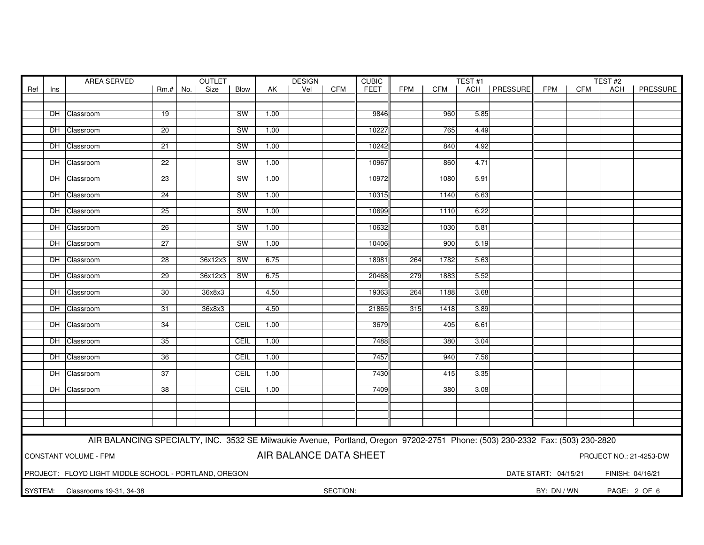| AREA SERVED<br><b>OUTLET</b> |                                                                                                                               |                                                       |                 |  |         | <b>DESIGN</b> |      | <b>CUBIC</b>           | TEST <sub>#1</sub> |             |            |            | TEST#2 |                |                      |            |                  |                         |
|------------------------------|-------------------------------------------------------------------------------------------------------------------------------|-------------------------------------------------------|-----------------|--|---------|---------------|------|------------------------|--------------------|-------------|------------|------------|--------|----------------|----------------------|------------|------------------|-------------------------|
| Ref                          | Ins                                                                                                                           |                                                       | $Rm.+$ No.      |  | Size    | Blow          | AK   | Vel                    | <b>CFM</b>         | <b>FEET</b> | <b>FPM</b> | <b>CFM</b> |        | ACH   PRESSURE | <b>FPM</b>           | <b>CFM</b> | ACH              | PRESSURE                |
|                              |                                                                                                                               |                                                       |                 |  |         |               |      |                        |                    |             |            |            |        |                |                      |            |                  |                         |
|                              |                                                                                                                               |                                                       |                 |  |         |               |      |                        |                    |             |            |            |        |                |                      |            |                  |                         |
|                              |                                                                                                                               | DH Classroom                                          | $\overline{19}$ |  |         | <b>SW</b>     | 1.00 |                        |                    | 9846        |            | 960        | 5.85   |                |                      |            |                  |                         |
|                              |                                                                                                                               |                                                       |                 |  |         |               |      |                        |                    |             |            |            |        |                |                      |            |                  |                         |
|                              |                                                                                                                               | DH Classroom                                          | 20              |  |         | SW            | 1.00 |                        |                    | 10227       |            | 765        | 4.49   |                |                      |            |                  |                         |
|                              |                                                                                                                               | DH Classroom                                          | 21              |  |         | <b>SW</b>     | 1.00 |                        |                    | 10242       |            | 840        | 4.92   |                |                      |            |                  |                         |
|                              |                                                                                                                               |                                                       |                 |  |         |               |      |                        |                    |             |            |            |        |                |                      |            |                  |                         |
|                              |                                                                                                                               | DH Classroom                                          | $\overline{22}$ |  |         | <b>SW</b>     | 1.00 |                        |                    | 10967       |            | 860        | 4.71   |                |                      |            |                  |                         |
|                              |                                                                                                                               |                                                       |                 |  |         |               |      |                        |                    |             |            |            |        |                |                      |            |                  |                         |
|                              |                                                                                                                               | DH Classroom                                          | $\overline{23}$ |  |         | SW            | 1.00 |                        |                    | 10972       |            | 1080       | 5.91   |                |                      |            |                  |                         |
|                              |                                                                                                                               |                                                       |                 |  |         |               |      |                        |                    |             |            |            |        |                |                      |            |                  |                         |
|                              |                                                                                                                               | DH Classroom                                          | 24              |  |         | SW            | 1.00 |                        |                    | 10315       |            | 1140       | 6.63   |                |                      |            |                  |                         |
|                              |                                                                                                                               |                                                       |                 |  |         |               |      |                        |                    |             |            |            |        |                |                      |            |                  |                         |
|                              |                                                                                                                               | DH Classroom                                          | 25              |  |         | SW            | 1.00 |                        |                    | 10699       |            | 1110       | 6.22   |                |                      |            |                  |                         |
|                              |                                                                                                                               | DH Classroom                                          | 26              |  |         | SW            | 1.00 |                        |                    | 10632       |            | 1030       | 5.81   |                |                      |            |                  |                         |
|                              |                                                                                                                               |                                                       |                 |  |         |               |      |                        |                    |             |            |            |        |                |                      |            |                  |                         |
|                              |                                                                                                                               | DH Classroom                                          | 27              |  |         | <b>SW</b>     | 1.00 |                        |                    | 10406       |            | 900        | 5.19   |                |                      |            |                  |                         |
|                              |                                                                                                                               |                                                       |                 |  |         |               |      |                        |                    |             |            |            |        |                |                      |            |                  |                         |
|                              |                                                                                                                               | DH Classroom                                          | $\overline{28}$ |  | 36x12x3 | SW            | 6.75 |                        |                    | 18981       | 264        | 1782       | 5.63   |                |                      |            |                  |                         |
|                              |                                                                                                                               |                                                       |                 |  |         |               |      |                        |                    |             |            |            |        |                |                      |            |                  |                         |
|                              |                                                                                                                               | DH Classroom                                          | 29              |  | 36x12x3 | SW            | 6.75 |                        |                    | 20468       | 279        | 1883       | 5.52   |                |                      |            |                  |                         |
|                              |                                                                                                                               |                                                       |                 |  |         |               |      |                        |                    |             |            |            |        |                |                      |            |                  |                         |
|                              |                                                                                                                               | DH Classroom                                          | 30              |  | 36x8x3  |               | 4.50 |                        |                    | 19363       | 264        | 1188       | 3.68   |                |                      |            |                  |                         |
|                              |                                                                                                                               |                                                       |                 |  |         |               |      |                        |                    |             |            |            |        |                |                      |            |                  |                         |
|                              |                                                                                                                               | DH Classroom                                          | 31              |  | 36x8x3  |               | 4.50 |                        |                    | 21865       | 315        | 1418       | 3.89   |                |                      |            |                  |                         |
|                              |                                                                                                                               | DH Classroom                                          | 34              |  |         | CEIL          | 1.00 |                        |                    | 3679        |            | 405        | 6.61   |                |                      |            |                  |                         |
|                              |                                                                                                                               |                                                       |                 |  |         |               |      |                        |                    |             |            |            |        |                |                      |            |                  |                         |
|                              |                                                                                                                               | DH Classroom                                          | 35              |  |         | CEIL          | 1.00 |                        |                    | 7488        |            | 380        | 3.04   |                |                      |            |                  |                         |
|                              |                                                                                                                               |                                                       |                 |  |         |               |      |                        |                    |             |            |            |        |                |                      |            |                  |                         |
|                              |                                                                                                                               | DH Classroom                                          | $\overline{36}$ |  |         | CEIL          | 1.00 |                        |                    | 7457        |            | 940        | 7.56   |                |                      |            |                  |                         |
|                              |                                                                                                                               |                                                       |                 |  |         |               |      |                        |                    |             |            |            |        |                |                      |            |                  |                         |
|                              |                                                                                                                               | DH Classroom                                          | 37              |  |         | CEIL          | 1.00 |                        |                    | 7430        |            | 415        | 3.35   |                |                      |            |                  |                         |
|                              |                                                                                                                               |                                                       |                 |  |         |               |      |                        |                    |             |            |            |        |                |                      |            |                  |                         |
|                              |                                                                                                                               | DH Classroom                                          | $\overline{38}$ |  |         | CEIL          | 1.00 |                        |                    | 7409        |            | 380        | 3.08   |                |                      |            |                  |                         |
|                              |                                                                                                                               |                                                       |                 |  |         |               |      |                        |                    |             |            |            |        |                |                      |            |                  |                         |
|                              |                                                                                                                               |                                                       |                 |  |         |               |      |                        |                    |             |            |            |        |                |                      |            |                  |                         |
|                              |                                                                                                                               |                                                       |                 |  |         |               |      |                        |                    |             |            |            |        |                |                      |            |                  |                         |
|                              |                                                                                                                               |                                                       |                 |  |         |               |      |                        |                    |             |            |            |        |                |                      |            |                  |                         |
|                              |                                                                                                                               |                                                       |                 |  |         |               |      |                        |                    |             |            |            |        |                |                      |            |                  |                         |
|                              | AIR BALANCING SPECIALTY, INC. 3532 SE Milwaukie Avenue, Portland, Oregon 97202-2751 Phone: (503) 230-2332 Fax: (503) 230-2820 |                                                       |                 |  |         |               |      |                        |                    |             |            |            |        |                |                      |            |                  |                         |
|                              |                                                                                                                               | CONSTANT VOLUME - FPM                                 |                 |  |         |               |      | AIR BALANCE DATA SHEET |                    |             |            |            |        |                |                      |            |                  | PROJECT NO.: 21-4253-DW |
|                              |                                                                                                                               |                                                       |                 |  |         |               |      |                        |                    |             |            |            |        |                |                      |            |                  |                         |
|                              |                                                                                                                               | PROJECT: FLOYD LIGHT MIDDLE SCHOOL - PORTLAND, OREGON |                 |  |         |               |      |                        |                    |             |            |            |        |                | DATE START: 04/15/21 |            | FINISH: 04/16/21 |                         |
|                              |                                                                                                                               |                                                       |                 |  |         |               |      |                        |                    |             |            |            |        |                |                      |            |                  |                         |
| SYSTEM:                      |                                                                                                                               | Classrooms 19-31, 34-38                               |                 |  |         |               |      |                        | SECTION:           |             |            |            |        |                | BY: DN / WN          |            | PAGE: 2 OF 6     |                         |
|                              |                                                                                                                               |                                                       |                 |  |         |               |      |                        |                    |             |            |            |        |                |                      |            |                  |                         |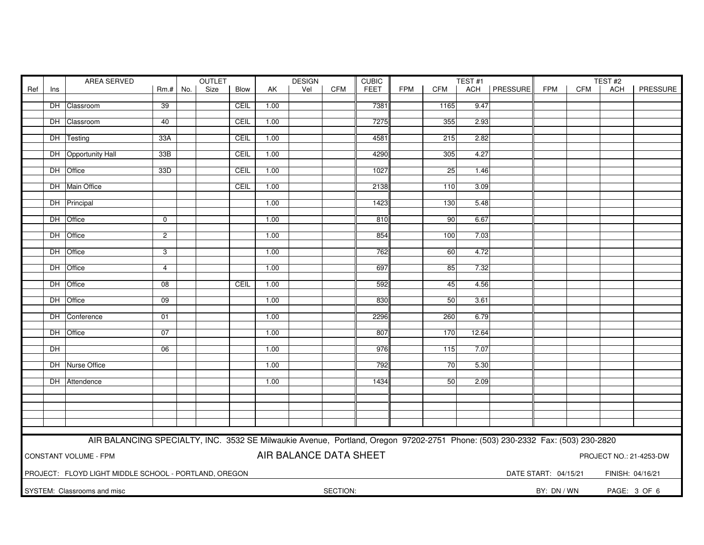|     | <b>OUTLET</b><br>AREA SERVED                                               |                                                                                                                               |                 |  |      |      | <b>DESIGN</b> |     | <b>CUBIC</b> | TEST <sub>#1</sub> |            |      |       | TEST#2         |                      |            |                  |          |
|-----|----------------------------------------------------------------------------|-------------------------------------------------------------------------------------------------------------------------------|-----------------|--|------|------|---------------|-----|--------------|--------------------|------------|------|-------|----------------|----------------------|------------|------------------|----------|
| Ref | Ins                                                                        |                                                                                                                               | $Rm.+$ No.      |  | Size | Blow | AK            | Vel | <b>CFM</b>   | FEET               | <b>FPM</b> | CFM  |       | ACH   PRESSURE | <b>FPM</b>           | <b>CFM</b> | <b>ACH</b>       | PRESSURE |
|     |                                                                            |                                                                                                                               |                 |  |      |      |               |     |              |                    |            |      |       |                |                      |            |                  |          |
|     |                                                                            | DH Classroom                                                                                                                  | 39              |  |      | CEIL | 1.00          |     |              | 7381               |            | 1165 | 9.47  |                |                      |            |                  |          |
|     |                                                                            |                                                                                                                               |                 |  |      |      |               |     |              |                    |            |      |       |                |                      |            |                  |          |
|     |                                                                            | DH Classroom                                                                                                                  | 40              |  |      | CEIL | 1.00          |     |              | 7275               |            | 355  | 2.93  |                |                      |            |                  |          |
|     |                                                                            | DH Testing                                                                                                                    | 33A             |  |      | CEIL | 1.00          |     |              | 4581               |            | 215  | 2.82  |                |                      |            |                  |          |
|     |                                                                            |                                                                                                                               |                 |  |      |      |               |     |              |                    |            |      |       |                |                      |            |                  |          |
|     |                                                                            | DH Opportunity Hall                                                                                                           | 33B             |  |      | CEIL | 1.00          |     |              | 4290               |            | 305  | 4.27  |                |                      |            |                  |          |
|     |                                                                            |                                                                                                                               |                 |  |      |      |               |     |              |                    |            |      |       |                |                      |            |                  |          |
|     |                                                                            | DH Office                                                                                                                     | 33D             |  |      | CEIL | 1.00          |     |              | 1027               |            | 25   | 1.46  |                |                      |            |                  |          |
|     |                                                                            |                                                                                                                               |                 |  |      |      |               |     |              |                    |            |      |       |                |                      |            |                  |          |
|     |                                                                            | DH Main Office                                                                                                                |                 |  |      | CEIL | 1.00          |     |              | 2138               |            | 110  | 3.09  |                |                      |            |                  |          |
|     |                                                                            | DH Principal                                                                                                                  |                 |  |      |      | 1.00          |     |              | 1423               |            | 130  | 5.48  |                |                      |            |                  |          |
|     |                                                                            |                                                                                                                               |                 |  |      |      |               |     |              |                    |            |      |       |                |                      |            |                  |          |
|     |                                                                            | DH Office                                                                                                                     | $\mathbf{0}$    |  |      |      | 1.00          |     |              | 810                |            | 90   | 6.67  |                |                      |            |                  |          |
|     |                                                                            |                                                                                                                               |                 |  |      |      |               |     |              |                    |            |      |       |                |                      |            |                  |          |
|     |                                                                            | DH Office                                                                                                                     | $\overline{2}$  |  |      |      | 1.00          |     |              | 854                |            | 100  | 7.03  |                |                      |            |                  |          |
|     |                                                                            |                                                                                                                               |                 |  |      |      |               |     |              |                    |            |      |       |                |                      |            |                  |          |
|     |                                                                            | DH Office                                                                                                                     | 3               |  |      |      | 1.00          |     |              | 762                |            | 60   | 4.72  |                |                      |            |                  |          |
|     |                                                                            |                                                                                                                               |                 |  |      |      |               |     |              |                    |            |      |       |                |                      |            |                  |          |
|     |                                                                            | DH Office                                                                                                                     | $\overline{4}$  |  |      |      | 1.00          |     |              | 697                |            | 85   | 7.32  |                |                      |            |                  |          |
|     |                                                                            | DH Office                                                                                                                     | $\overline{08}$ |  |      | CEIL | 1.00          |     |              | 592                |            | 45   | 4.56  |                |                      |            |                  |          |
|     |                                                                            |                                                                                                                               |                 |  |      |      |               |     |              |                    |            |      |       |                |                      |            |                  |          |
|     |                                                                            | DH Office                                                                                                                     | 09              |  |      |      | 1.00          |     |              | 830                |            | 50   | 3.61  |                |                      |            |                  |          |
|     |                                                                            |                                                                                                                               |                 |  |      |      |               |     |              |                    |            |      |       |                |                      |            |                  |          |
|     |                                                                            | DH Conference                                                                                                                 | 01              |  |      |      | 1.00          |     |              | 2296               |            | 260  | 6.79  |                |                      |            |                  |          |
|     |                                                                            |                                                                                                                               |                 |  |      |      |               |     |              |                    |            |      |       |                |                      |            |                  |          |
|     |                                                                            | DH Office                                                                                                                     | 07              |  |      |      | 1.00          |     |              | 807                |            | 170  | 12.64 |                |                      |            |                  |          |
|     |                                                                            |                                                                                                                               |                 |  |      |      |               |     |              |                    |            |      |       |                |                      |            |                  |          |
|     | DH                                                                         |                                                                                                                               | 06              |  |      |      | 1.00          |     |              | 976                |            | 115  | 7.07  |                |                      |            |                  |          |
|     |                                                                            | DH Nurse Office                                                                                                               |                 |  |      |      | 1.00          |     |              | 792                |            | 70   | 5.30  |                |                      |            |                  |          |
|     |                                                                            |                                                                                                                               |                 |  |      |      |               |     |              |                    |            |      |       |                |                      |            |                  |          |
|     |                                                                            | DH Attendence                                                                                                                 |                 |  |      |      | 1.00          |     |              | 1434               |            | 50   | 2.09  |                |                      |            |                  |          |
|     |                                                                            |                                                                                                                               |                 |  |      |      |               |     |              |                    |            |      |       |                |                      |            |                  |          |
|     |                                                                            |                                                                                                                               |                 |  |      |      |               |     |              |                    |            |      |       |                |                      |            |                  |          |
|     |                                                                            |                                                                                                                               |                 |  |      |      |               |     |              |                    |            |      |       |                |                      |            |                  |          |
|     |                                                                            |                                                                                                                               |                 |  |      |      |               |     |              |                    |            |      |       |                |                      |            |                  |          |
|     |                                                                            |                                                                                                                               |                 |  |      |      |               |     |              |                    |            |      |       |                |                      |            |                  |          |
|     |                                                                            | AIR BALANCING SPECIALTY, INC. 3532 SE Milwaukie Avenue, Portland, Oregon 97202-2751 Phone: (503) 230-2332 Fax: (503) 230-2820 |                 |  |      |      |               |     |              |                    |            |      |       |                |                      |            |                  |          |
|     |                                                                            |                                                                                                                               |                 |  |      |      |               |     |              |                    |            |      |       |                |                      |            |                  |          |
|     | AIR BALANCE DATA SHEET<br>CONSTANT VOLUME - FPM<br>PROJECT NO.: 21-4253-DW |                                                                                                                               |                 |  |      |      |               |     |              |                    |            |      |       |                |                      |            |                  |          |
|     |                                                                            |                                                                                                                               |                 |  |      |      |               |     |              |                    |            |      |       |                |                      |            |                  |          |
|     |                                                                            | PROJECT: FLOYD LIGHT MIDDLE SCHOOL - PORTLAND, OREGON                                                                         |                 |  |      |      |               |     |              |                    |            |      |       |                | DATE START: 04/15/21 |            | FINISH: 04/16/21 |          |
|     |                                                                            |                                                                                                                               |                 |  |      |      |               |     |              |                    |            |      |       |                |                      |            |                  |          |
|     |                                                                            | SYSTEM: Classrooms and misc                                                                                                   |                 |  |      |      |               |     | SECTION:     |                    |            |      |       |                | BY: DN / WN          |            | PAGE: 3 OF 6     |          |
|     |                                                                            |                                                                                                                               |                 |  |      |      |               |     |              |                    |            |      |       |                |                      |            |                  |          |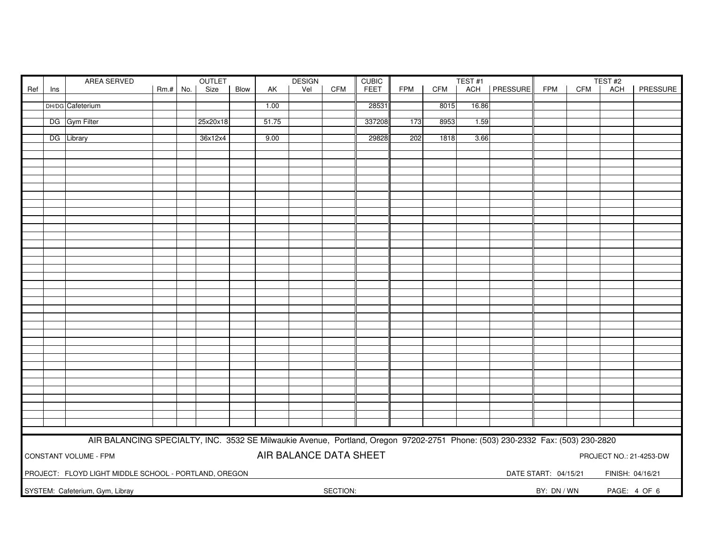| AREA SERVED<br>OUTLET |     |                                                                                                                               |            |          | <b>DESIGN</b><br><b>CUBIC</b> |       |                        |            |        | TEST#1     |      |       |          | TEST#2               |     |                  |                         |
|-----------------------|-----|-------------------------------------------------------------------------------------------------------------------------------|------------|----------|-------------------------------|-------|------------------------|------------|--------|------------|------|-------|----------|----------------------|-----|------------------|-------------------------|
| Ref                   | Ins |                                                                                                                               | $Rm.+$ No. | Size     | Blow                          | AK    | Vel                    | <b>CFM</b> | FEET   | <b>FPM</b> | CFM  | ACH   | PRESSURE | <b>FPM</b>           | CFM | <b>ACH</b>       | PRESSURE                |
|                       |     |                                                                                                                               |            |          |                               |       |                        |            |        |            |      |       |          |                      |     |                  |                         |
|                       |     | DH/DG Cafeterium                                                                                                              |            |          |                               | 1.00  |                        |            | 28531  |            | 8015 | 16.86 |          |                      |     |                  |                         |
|                       |     | DG Gym Filter                                                                                                                 |            | 25x20x18 |                               | 51.75 |                        |            | 337208 | 173        | 8953 | 1.59  |          |                      |     |                  |                         |
|                       |     |                                                                                                                               |            |          |                               |       |                        |            |        |            |      |       |          |                      |     |                  |                         |
|                       |     | DG Library                                                                                                                    |            | 36x12x4  |                               | 9.00  |                        |            | 29828  | 202        | 1818 | 3.66  |          |                      |     |                  |                         |
|                       |     |                                                                                                                               |            |          |                               |       |                        |            |        |            |      |       |          |                      |     |                  |                         |
|                       |     |                                                                                                                               |            |          |                               |       |                        |            |        |            |      |       |          |                      |     |                  |                         |
|                       |     |                                                                                                                               |            |          |                               |       |                        |            |        |            |      |       |          |                      |     |                  |                         |
|                       |     |                                                                                                                               |            |          |                               |       |                        |            |        |            |      |       |          |                      |     |                  |                         |
|                       |     |                                                                                                                               |            |          |                               |       |                        |            |        |            |      |       |          |                      |     |                  |                         |
|                       |     |                                                                                                                               |            |          |                               |       |                        |            |        |            |      |       |          |                      |     |                  |                         |
|                       |     |                                                                                                                               |            |          |                               |       |                        |            |        |            |      |       |          |                      |     |                  |                         |
|                       |     |                                                                                                                               |            |          |                               |       |                        |            |        |            |      |       |          |                      |     |                  |                         |
|                       |     |                                                                                                                               |            |          |                               |       |                        |            |        |            |      |       |          |                      |     |                  |                         |
|                       |     |                                                                                                                               |            |          |                               |       |                        |            |        |            |      |       |          |                      |     |                  |                         |
|                       |     |                                                                                                                               |            |          |                               |       |                        |            |        |            |      |       |          |                      |     |                  |                         |
|                       |     |                                                                                                                               |            |          |                               |       |                        |            |        |            |      |       |          |                      |     |                  |                         |
|                       |     |                                                                                                                               |            |          |                               |       |                        |            |        |            |      |       |          |                      |     |                  |                         |
|                       |     |                                                                                                                               |            |          |                               |       |                        |            |        |            |      |       |          |                      |     |                  |                         |
|                       |     |                                                                                                                               |            |          |                               |       |                        |            |        |            |      |       |          |                      |     |                  |                         |
|                       |     |                                                                                                                               |            |          |                               |       |                        |            |        |            |      |       |          |                      |     |                  |                         |
|                       |     |                                                                                                                               |            |          |                               |       |                        |            |        |            |      |       |          |                      |     |                  |                         |
|                       |     |                                                                                                                               |            |          |                               |       |                        |            |        |            |      |       |          |                      |     |                  |                         |
|                       |     |                                                                                                                               |            |          |                               |       |                        |            |        |            |      |       |          |                      |     |                  |                         |
|                       |     |                                                                                                                               |            |          |                               |       |                        |            |        |            |      |       |          |                      |     |                  |                         |
|                       |     |                                                                                                                               |            |          |                               |       |                        |            |        |            |      |       |          |                      |     |                  |                         |
|                       |     |                                                                                                                               |            |          |                               |       |                        |            |        |            |      |       |          |                      |     |                  |                         |
|                       |     |                                                                                                                               |            |          |                               |       |                        |            |        |            |      |       |          |                      |     |                  |                         |
|                       |     |                                                                                                                               |            |          |                               |       |                        |            |        |            |      |       |          |                      |     |                  |                         |
|                       |     |                                                                                                                               |            |          |                               |       |                        |            |        |            |      |       |          |                      |     |                  |                         |
|                       |     |                                                                                                                               |            |          |                               |       |                        |            |        |            |      |       |          |                      |     |                  |                         |
|                       |     |                                                                                                                               |            |          |                               |       |                        |            |        |            |      |       |          |                      |     |                  |                         |
|                       |     |                                                                                                                               |            |          |                               |       |                        |            |        |            |      |       |          |                      |     |                  |                         |
|                       |     |                                                                                                                               |            |          |                               |       |                        |            |        |            |      |       |          |                      |     |                  |                         |
|                       |     |                                                                                                                               |            |          |                               |       |                        |            |        |            |      |       |          |                      |     |                  |                         |
|                       |     | AIR BALANCING SPECIALTY, INC. 3532 SE Milwaukie Avenue, Portland, Oregon 97202-2751 Phone: (503) 230-2332 Fax: (503) 230-2820 |            |          |                               |       |                        |            |        |            |      |       |          |                      |     |                  |                         |
|                       |     | CONSTANT VOLUME - FPM                                                                                                         |            |          |                               |       | AIR BALANCE DATA SHEET |            |        |            |      |       |          |                      |     |                  | PROJECT NO.: 21-4253-DW |
|                       |     | PROJECT: FLOYD LIGHT MIDDLE SCHOOL - PORTLAND, OREGON                                                                         |            |          |                               |       |                        |            |        |            |      |       |          | DATE START: 04/15/21 |     | FINISH: 04/16/21 |                         |
|                       |     | SYSTEM: Cafeterium, Gym, Libray                                                                                               |            |          |                               |       |                        | SECTION:   |        |            |      |       |          | BY: DN / WN          |     | PAGE: 4 OF 6     |                         |
|                       |     |                                                                                                                               |            |          |                               |       |                        |            |        |            |      |       |          |                      |     |                  |                         |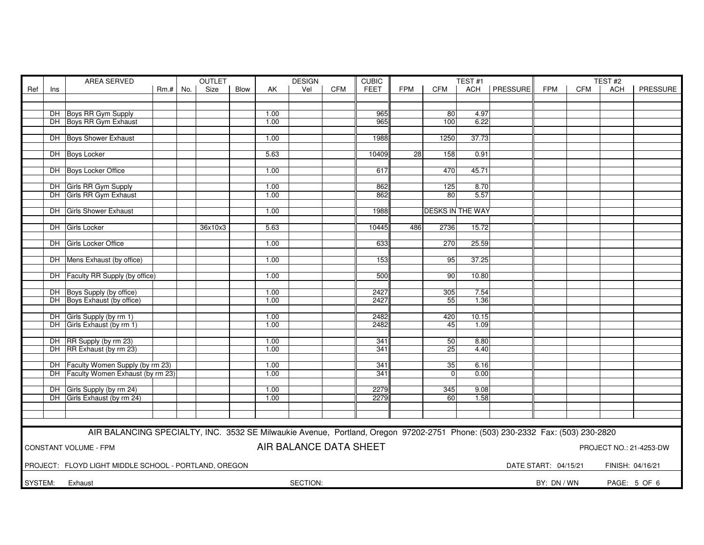|         |                                                                                                   | AREA SERVED                                                                                                                   |            |  | <b>OUTLET</b> |      | <b>CUBIC</b><br><b>DESIGN</b> |          |            |            |                 | TEST <sub>#1</sub>      |       |                 |             | TEST #2    |            |                 |
|---------|---------------------------------------------------------------------------------------------------|-------------------------------------------------------------------------------------------------------------------------------|------------|--|---------------|------|-------------------------------|----------|------------|------------|-----------------|-------------------------|-------|-----------------|-------------|------------|------------|-----------------|
| Ref     | Ins                                                                                               |                                                                                                                               | $Rm.+$ No. |  | Size          | Blow | AK                            | Vel      | <b>CFM</b> | FEET       | <b>FPM</b>      | CFM                     | ACH   | <b>PRESSURE</b> | <b>FPM</b>  | <b>CFM</b> | <b>ACH</b> | <b>PRESSURE</b> |
|         |                                                                                                   |                                                                                                                               |            |  |               |      |                               |          |            |            |                 |                         |       |                 |             |            |            |                 |
|         |                                                                                                   |                                                                                                                               |            |  |               |      |                               |          |            |            |                 |                         |       |                 |             |            |            |                 |
|         |                                                                                                   | DH Boys RR Gym Supply                                                                                                         |            |  |               |      | 1.00                          |          |            | 965        |                 | 80                      | 4.97  |                 |             |            |            |                 |
|         |                                                                                                   | DH Boys RR Gym Exhaust                                                                                                        |            |  |               |      | 1.00                          |          |            | 965        |                 | 100                     | 6.22  |                 |             |            |            |                 |
|         |                                                                                                   |                                                                                                                               |            |  |               |      |                               |          |            |            |                 |                         |       |                 |             |            |            |                 |
|         |                                                                                                   | <b>DH</b> Boys Shower Exhaust                                                                                                 |            |  |               |      | 1.00                          |          |            | 1988       |                 | 1250                    | 37.73 |                 |             |            |            |                 |
|         |                                                                                                   |                                                                                                                               |            |  |               |      |                               |          |            |            |                 |                         |       |                 |             |            |            |                 |
|         |                                                                                                   | DH Boys Locker                                                                                                                |            |  |               |      | 5.63                          |          |            | 10409      | $\overline{28}$ | 158                     | 0.91  |                 |             |            |            |                 |
|         |                                                                                                   |                                                                                                                               |            |  |               |      |                               |          |            |            |                 |                         |       |                 |             |            |            |                 |
|         |                                                                                                   | DH Boys Locker Office                                                                                                         |            |  |               |      | 1.00                          |          |            | 617        |                 | 470                     | 45.71 |                 |             |            |            |                 |
|         |                                                                                                   | DH Girls RR Gym Supply                                                                                                        |            |  |               |      | 1.00                          |          |            | 862        |                 | 125                     | 8.70  |                 |             |            |            |                 |
|         |                                                                                                   | DH Girls RR Gym Exhaust                                                                                                       |            |  |               |      | 1.00                          |          |            | 862        |                 | 80                      | 5.57  |                 |             |            |            |                 |
|         |                                                                                                   |                                                                                                                               |            |  |               |      |                               |          |            |            |                 |                         |       |                 |             |            |            |                 |
|         |                                                                                                   | DH Girls Shower Exhaust                                                                                                       |            |  |               |      | 1.00                          |          |            | 1988       |                 | <b>DESKS IN THE WAY</b> |       |                 |             |            |            |                 |
|         |                                                                                                   |                                                                                                                               |            |  |               |      |                               |          |            |            |                 |                         |       |                 |             |            |            |                 |
|         |                                                                                                   | DH Girls Locker                                                                                                               |            |  | 36x10x3       |      | 5.63                          |          |            | 10445      | 486             | 2736                    | 15.72 |                 |             |            |            |                 |
|         |                                                                                                   |                                                                                                                               |            |  |               |      |                               |          |            |            |                 |                         |       |                 |             |            |            |                 |
|         |                                                                                                   | DH Girls Locker Office                                                                                                        |            |  |               |      | 1.00                          |          |            | 633        |                 | 270                     | 25.59 |                 |             |            |            |                 |
|         |                                                                                                   |                                                                                                                               |            |  |               |      |                               |          |            |            |                 |                         |       |                 |             |            |            |                 |
|         |                                                                                                   | DH   Mens Exhaust (by office)                                                                                                 |            |  |               |      | 1.00                          |          |            | 153        |                 | 95                      | 37.25 |                 |             |            |            |                 |
|         |                                                                                                   |                                                                                                                               |            |  |               |      |                               |          |            |            |                 |                         |       |                 |             |            |            |                 |
|         |                                                                                                   | DH Faculty RR Supply (by office)                                                                                              |            |  |               |      | 1.00                          |          |            | 500        |                 | 90                      | 10.80 |                 |             |            |            |                 |
|         |                                                                                                   |                                                                                                                               |            |  |               |      |                               |          |            |            |                 |                         |       |                 |             |            |            |                 |
|         |                                                                                                   | DH Boys Supply (by office)                                                                                                    |            |  |               |      | 1.00                          |          |            | 2427       |                 | 305                     | 7.54  |                 |             |            |            |                 |
|         |                                                                                                   | DH Boys Exhaust (by office)                                                                                                   |            |  |               |      | 1.00                          |          |            | 2427       |                 | 55                      | 1.36  |                 |             |            |            |                 |
|         |                                                                                                   |                                                                                                                               |            |  |               |      |                               |          |            |            |                 |                         |       |                 |             |            |            |                 |
|         |                                                                                                   | DH Girls Supply (by rm 1)                                                                                                     |            |  |               |      | 1.00                          |          |            | 2482       |                 | 420                     | 10.15 |                 |             |            |            |                 |
|         |                                                                                                   | DH Girls Exhaust (by rm 1)                                                                                                    |            |  |               |      | 1.00                          |          |            | 2482       |                 | 45                      | 1.09  |                 |             |            |            |                 |
|         |                                                                                                   |                                                                                                                               |            |  |               |      |                               |          |            |            |                 |                         |       |                 |             |            |            |                 |
|         |                                                                                                   | DH RR Supply (by rm 23)                                                                                                       |            |  |               |      | 1.00<br>1.00                  |          |            | 341<br>341 |                 | 50                      | 8.80  |                 |             |            |            |                 |
|         |                                                                                                   | DH RR Exhaust (by rm 23)                                                                                                      |            |  |               |      |                               |          |            |            |                 | 25                      | 4.40  |                 |             |            |            |                 |
|         |                                                                                                   | DH Faculty Women Supply (by rm 23)                                                                                            |            |  |               |      | 1.00                          |          |            | 341        |                 | $\overline{35}$         | 6.16  |                 |             |            |            |                 |
|         |                                                                                                   | DH Faculty Women Exhaust (by rm 23)                                                                                           |            |  |               |      | 1.00                          |          |            | 341        |                 | $\Omega$                | 0.00  |                 |             |            |            |                 |
|         |                                                                                                   |                                                                                                                               |            |  |               |      |                               |          |            |            |                 |                         |       |                 |             |            |            |                 |
|         |                                                                                                   | DH Girls Supply (by rm 24)                                                                                                    |            |  |               |      | 1.00                          |          |            | 2279       |                 | 345                     | 9.08  |                 |             |            |            |                 |
|         |                                                                                                   | DH Girls Exhaust (by rm 24)                                                                                                   |            |  |               |      | 1.00                          |          |            | 2279       |                 | 60                      | 1.58  |                 |             |            |            |                 |
|         |                                                                                                   |                                                                                                                               |            |  |               |      |                               |          |            |            |                 |                         |       |                 |             |            |            |                 |
|         |                                                                                                   |                                                                                                                               |            |  |               |      |                               |          |            |            |                 |                         |       |                 |             |            |            |                 |
|         |                                                                                                   |                                                                                                                               |            |  |               |      |                               |          |            |            |                 |                         |       |                 |             |            |            |                 |
|         |                                                                                                   | AIR BALANCING SPECIALTY, INC. 3532 SE Milwaukie Avenue, Portland, Oregon 97202-2751 Phone: (503) 230-2332 Fax: (503) 230-2820 |            |  |               |      |                               |          |            |            |                 |                         |       |                 |             |            |            |                 |
|         |                                                                                                   |                                                                                                                               |            |  |               |      |                               |          |            |            |                 |                         |       |                 |             |            |            |                 |
|         | AIR BALANCE DATA SHEET<br><b>CONSTANT VOLUME - FPM</b><br>PROJECT NO.: 21-4253-DW                 |                                                                                                                               |            |  |               |      |                               |          |            |            |                 |                         |       |                 |             |            |            |                 |
|         |                                                                                                   |                                                                                                                               |            |  |               |      |                               |          |            |            |                 |                         |       |                 |             |            |            |                 |
|         | PROJECT: FLOYD LIGHT MIDDLE SCHOOL - PORTLAND, OREGON<br>DATE START: 04/15/21<br>FINISH: 04/16/21 |                                                                                                                               |            |  |               |      |                               |          |            |            |                 |                         |       |                 |             |            |            |                 |
|         |                                                                                                   |                                                                                                                               |            |  |               |      |                               |          |            |            |                 |                         |       |                 |             |            |            |                 |
| SYSTEM: |                                                                                                   | Exhaust                                                                                                                       |            |  |               |      |                               | SECTION: |            |            |                 |                         |       |                 | BY: DN / WN |            |            | PAGE: 5 OF 6    |
|         |                                                                                                   |                                                                                                                               |            |  |               |      |                               |          |            |            |                 |                         |       |                 |             |            |            |                 |